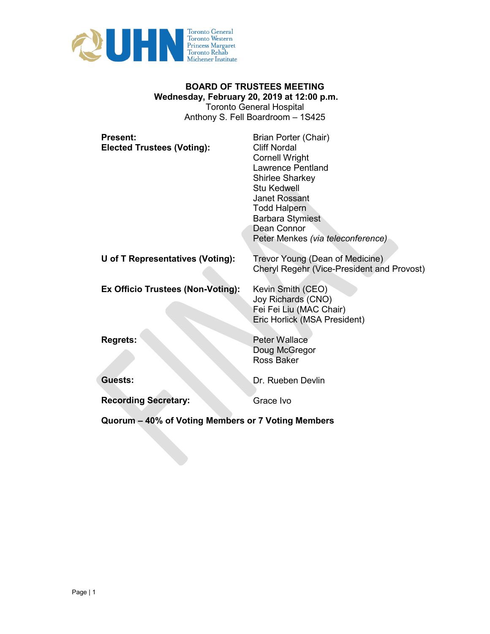

### **BOARD OF TRUSTEES MEETING Wednesday, February 20, 2019 at 12:00 p.m.**  Toronto General Hospital Anthony S. Fell Boardroom – 1S425

| <b>Present:</b><br><b>Elected Trustees (Voting):</b> | Brian Porter (Chair)<br><b>Cliff Nordal</b><br><b>Cornell Wright</b><br><b>Lawrence Pentland</b><br><b>Shirlee Sharkey</b><br>Stu Kedwell<br><b>Janet Rossant</b><br><b>Todd Halpern</b><br><b>Barbara Stymiest</b><br>Dean Connor<br>Peter Menkes (via teleconference) |
|------------------------------------------------------|-------------------------------------------------------------------------------------------------------------------------------------------------------------------------------------------------------------------------------------------------------------------------|
| U of T Representatives (Voting):                     | Trevor Young (Dean of Medicine)<br>Cheryl Regehr (Vice-President and Provost)                                                                                                                                                                                           |
| Ex Officio Trustees (Non-Voting):                    | Kevin Smith (CEO)<br>Joy Richards (CNO)<br>Fei Fei Liu (MAC Chair)<br>Eric Horlick (MSA President)                                                                                                                                                                      |
| <b>Regrets:</b>                                      | <b>Peter Wallace</b><br>Doug McGregor<br><b>Ross Baker</b>                                                                                                                                                                                                              |
| Guests:                                              | Dr. Rueben Devlin                                                                                                                                                                                                                                                       |
| <b>Recording Secretary:</b>                          | Grace Ivo                                                                                                                                                                                                                                                               |
|                                                      |                                                                                                                                                                                                                                                                         |

**Quorum – 40% of Voting Members or 7 Voting Members**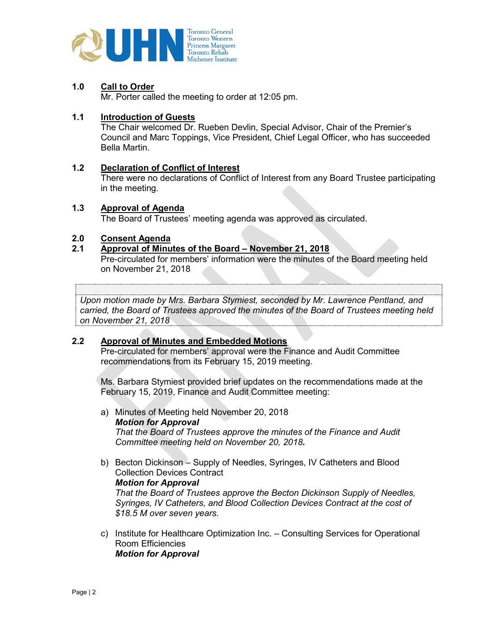

## **1.0 Call to Order**

Mr. Porter called the meeting to order at 12:05 pm.

### **1.1 Introduction of Guests**

The Chair welcomed Dr. Rueben Devlin, Special Advisor, Chair of the Premier's Council and Marc Toppings, Vice President, Chief Legal Officer, who has succeeded Bella Martin.

### **1.2 Declaration of Conflict of Interest**

There were no declarations of Conflict of Interest from any Board Trustee participating in the meeting.

## **1.3 Approval of Agenda**

The Board of Trustees' meeting agenda was approved as circulated.

## **2.0 Consent Agenda**

### **2.1 Approval of Minutes of the Board – November 21, 2018**

Pre-circulated for members' information were the minutes of the Board meeting held on November 21, 2018

*BOARD MOTION Upon motion made by Mrs. Barbara Stymiest, seconded by Mr. Lawrence Pentland, and carried, the Board of Trustees approved the minutes of the Board of Trustees meeting held on November 21, 2018*

### **2.2 Approval of Minutes and Embedded Motions**

Pre-circulated for members' approval were the Finance and Audit Committee recommendations from its February 15, 2019 meeting.

Ms. Barbara Stymiest provided brief updates on the recommendations made at the February 15, 2019, Finance and Audit Committee meeting:

- a) Minutes of Meeting held November 20, 2018 *Motion for Approval That the Board of Trustees approve the minutes of the Finance and Audit Committee meeting held on November 20, 2018.*
- b) Becton Dickinson Supply of Needles, Syringes, IV Catheters and Blood Collection Devices Contract

*Motion for Approval*

*That the Board of Trustees approve the Becton Dickinson Supply of Needles, Syringes, IV Catheters, and Blood Collection Devices Contract at the cost of \$18.5 M over seven years.* 

c) Institute for Healthcare Optimization Inc. – Consulting Services for Operational Room Efficiencies *Motion for Approval*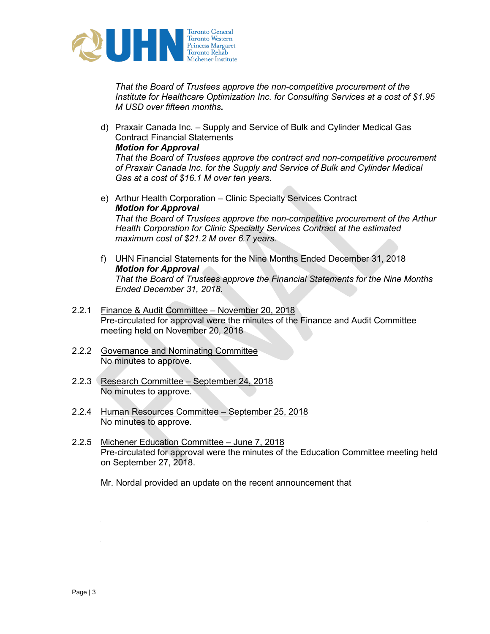

*That the Board of Trustees approve the non-competitive procurement of the Institute for Healthcare Optimization Inc. for Consulting Services at a cost of \$1.95 M USD over fifteen months.* 

d) Praxair Canada Inc. – Supply and Service of Bulk and Cylinder Medical Gas Contract Financial Statements *Motion for Approval*

*That the Board of Trustees approve the contract and non-competitive procurement of Praxair Canada Inc. for the Supply and Service of Bulk and Cylinder Medical Gas at a cost of \$16.1 M over ten years.* 

- e) Arthur Health Corporation Clinic Specialty Services Contract *Motion for Approval That the Board of Trustees approve the non-competitive procurement of the Arthur Health Corporation for Clinic Specialty Services Contract at the estimated maximum cost of \$21.2 M over 6.7 years.*
- f) UHN Financial Statements for the Nine Months Ended December 31, 2018 *Motion for Approval That the Board of Trustees approve the Financial Statements for the Nine Months Ended December 31, 2018.*
- 2.2.1 Finance & Audit Committee November 20, 2018 Pre-circulated for approval were the minutes of the Finance and Audit Committee meeting held on November 20, 2018
- 2.2.2 Governance and Nominating Committee No minutes to approve.
- 2.2.3 Research Committee September 24, 2018 No minutes to approve.
- 2.2.4 Human Resources Committee September 25, 2018 No minutes to approve.
- 2.2.5 Michener Education Committee June 7, 2018 Pre-circulated for approval were the minutes of the Education Committee meeting held on September 27, 2018.

cent of their revenue coming from tuition, while the remainder comes from government

Mr. Nordal provided an update on the recent announcement that

funding. These changes will impact Michener's bottom line.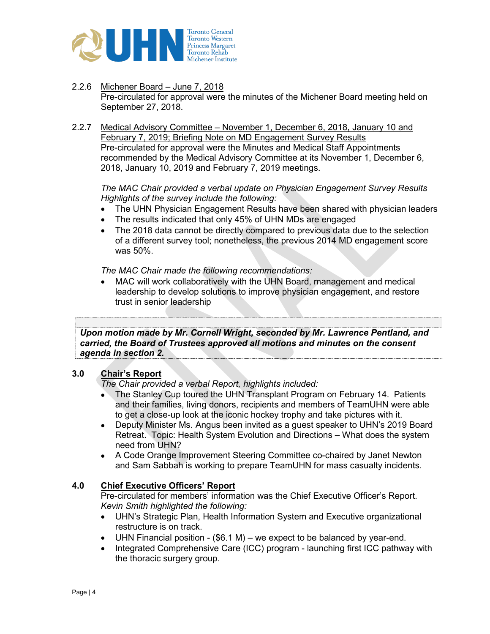

- 2.2.6 Michener Board June 7, 2018 Pre-circulated for approval were the minutes of the Michener Board meeting held on September 27, 2018.
- 2.2.7 Medical Advisory Committee November 1, December 6, 2018, January 10 and February 7, 2019; Briefing Note on MD Engagement Survey Results Pre-circulated for approval were the Minutes and Medical Staff Appointments recommended by the Medical Advisory Committee at its November 1, December 6, 2018, January 10, 2019 and February 7, 2019 meetings.

*The MAC Chair provided a verbal update on Physician Engagement Survey Results Highlights of the survey include the following:*

- The UHN Physician Engagement Results have been shared with physician leaders
- The results indicated that only 45% of UHN MDs are engaged
- The 2018 data cannot be directly compared to previous data due to the selection of a different survey tool; nonetheless, the previous 2014 MD engagement score was 50%.

*The MAC Chair made the following recommendations:* 

• MAC will work collaboratively with the UHN Board, management and medical leadership to develop solutions to improve physician engagement, and restore trust in senior leadership

*BOARD MOTION Upon motion made by Mr. Cornell Wright, seconded by Mr. Lawrence Pentland, and carried, the Board of Trustees approved all motions and minutes on the consent agenda in section 2.*

## **3.0 Chair's Report**

*The Chair provided a verbal Report, highlights included:*

- The Stanley Cup toured the UHN Transplant Program on February 14. Patients and their families, living donors, recipients and members of TeamUHN were able to get a close-up look at the iconic hockey trophy and take pictures with it.
- Deputy Minister Ms. Angus been invited as a guest speaker to UHN's 2019 Board Retreat. Topic: Health System Evolution and Directions – What does the system need from UHN?
- A Code Orange Improvement Steering Committee co-chaired by Janet Newton and Sam Sabbah is working to prepare TeamUHN for mass casualty incidents.

## **4.0 Chief Executive Officers' Report**

Pre-circulated for members' information was the Chief Executive Officer's Report. *Kevin Smith highlighted the following:* 

- UHN's Strategic Plan, Health Information System and Executive organizational restructure is on track.
- UHN Financial position  $(\$6.1 M)$  we expect to be balanced by year-end.
- Integrated Comprehensive Care (ICC) program launching first ICC pathway with the thoracic surgery group.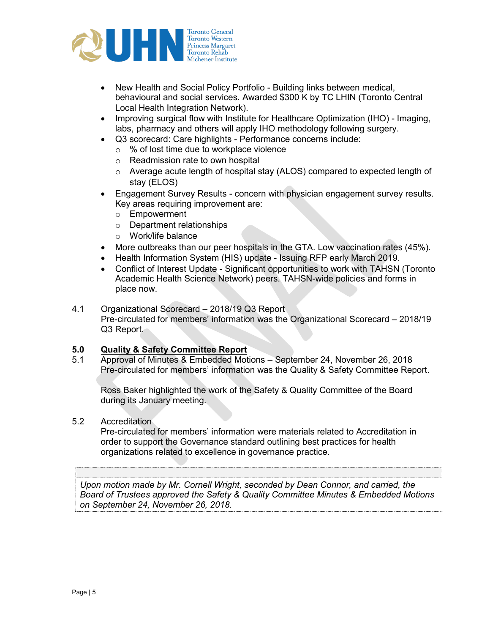

- New Health and Social Policy Portfolio Building links between medical, behavioural and social services. Awarded \$300 K by TC LHIN (Toronto Central Local Health Integration Network).
- Improving surgical flow with Institute for Healthcare Optimization (IHO) Imaging, labs, pharmacy and others will apply IHO methodology following surgery.
- Q3 scorecard: Care highlights Performance concerns include:
	- o % of lost time due to workplace violence
	- o Readmission rate to own hospital
	- $\circ$  Average acute length of hospital stay (ALOS) compared to expected length of stay (ELOS)
- Engagement Survey Results concern with physician engagement survey results. Key areas requiring improvement are:
	- o Empowerment
	- o Department relationships
	- o Work/life balance
- More outbreaks than our peer hospitals in the GTA. Low vaccination rates (45%).
- Health Information System (HIS) update Issuing RFP early March 2019.
- Conflict of Interest Update Significant opportunities to work with TAHSN (Toronto Academic Health Science Network) peers. TAHSN-wide policies and forms in place now.
- 4.1 Organizational Scorecard 2018/19 Q3 Report Pre-circulated for members' information was the Organizational Scorecard – 2018/19 Q3 Report.

# **5.0 Quality & Safety Committee Report**

5.1 Approval of Minutes & Embedded Motions – September 24, November 26, 2018 Pre-circulated for members' information was the Quality & Safety Committee Report.

Ross Baker highlighted the work of the Safety & Quality Committee of the Board during its January meeting.

### 5.2 Accreditation

*BOARD MOTION*

Pre-circulated for members' information were materials related to Accreditation in order to support the Governance standard outlining best practices for health organizations related to excellence in governance practice.

*Upon motion made by Mr. Cornell Wright, seconded by Dean Connor, and carried, the Board of Trustees approved the Safety & Quality Committee Minutes & Embedded Motions on September 24, November 26, 2018.*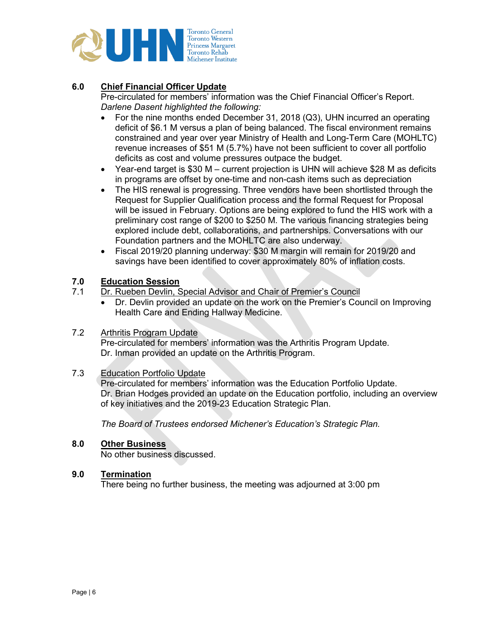

## **6.0 Chief Financial Officer Update**

Pre-circulated for members' information was the Chief Financial Officer's Report. *Darlene Dasent highlighted the following:* 

- For the nine months ended December 31, 2018 (Q3), UHN incurred an operating deficit of \$6.1 M versus a plan of being balanced. The fiscal environment remains constrained and year over year Ministry of Health and Long-Term Care (MOHLTC) revenue increases of \$51 M (5.7%) have not been sufficient to cover all portfolio deficits as cost and volume pressures outpace the budget.
- Year-end target is \$30 M current projection is UHN will achieve \$28 M as deficits in programs are offset by one-time and non-cash items such as depreciation
- The HIS renewal is progressing. Three vendors have been shortlisted through the Request for Supplier Qualification process and the formal Request for Proposal will be issued in February. Options are being explored to fund the HIS work with a preliminary cost range of \$200 to \$250 M. The various financing strategies being explored include debt, collaborations, and partnerships. Conversations with our Foundation partners and the MOHLTC are also underway.
- Fiscal 2019/20 planning underway: \$30 M margin will remain for 2019/20 and savings have been identified to cover approximately 80% of inflation costs.

## **7.0 Education Session**

- Dr. Rueben Devlin, Special Advisor and Chair of Premier's Council
	- Dr. Devlin provided an update on the work on the Premier's Council on Improving Health Care and Ending Hallway Medicine.

### 7.2 Arthritis Program Update

Pre-circulated for members' information was the Arthritis Program Update. Dr. Inman provided an update on the Arthritis Program.

### 7.3 Education Portfolio Update

Pre-circulated for members' information was the Education Portfolio Update. Dr. Brian Hodges provided an update on the Education portfolio, including an overview of key initiatives and the 2019-23 Education Strategic Plan.

*The Board of Trustees endorsed Michener's Education's Strategic Plan.*

### **8.0 Other Business**

No other business discussed.

### **9.0 Termination**

There being no further business, the meeting was adjourned at 3:00 pm